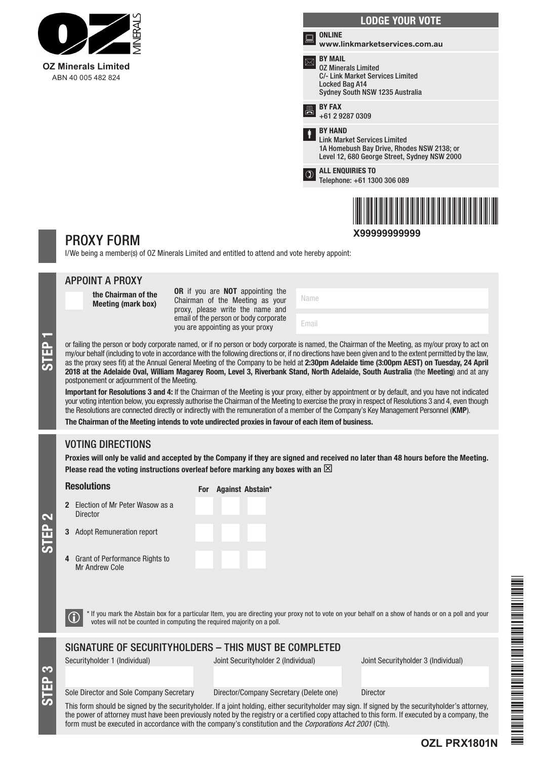

|               | <b>LODGE YOUR VOTE</b>                                                                                                                              |  |  |  |
|---------------|-----------------------------------------------------------------------------------------------------------------------------------------------------|--|--|--|
| '≈            | <b>ONLINE</b><br>www.linkmarketservices.com.au                                                                                                      |  |  |  |
|               | <b>BY MAIL</b><br><b>02 Minerals Limited</b><br>C/- Link Market Services Limited<br>Locked Bag A14<br>Sydney South NSW 1235 Australia               |  |  |  |
| 昌             | <b>BY FAX</b><br>+61 2 9287 0309                                                                                                                    |  |  |  |
| ł             | <b>BY HAND</b><br><b>Link Market Services Limited</b><br>1A Homebush Bay Drive, Rhodes NSW 2138; or<br>Level 12, 680 George Street, Sydney NSW 2000 |  |  |  |
| $\circled{1}$ | <b>ALL ENQUIRIES TO</b><br>Telephone: +61 1300 306 089                                                                                              |  |  |  |
|               |                                                                                                                                                     |  |  |  |

# \*X99999999999\* **X99999999999**

## PROXY FORM

I/We being a member(s) of OZ Minerals Limited and entitled to attend and vote hereby appoint:

|                                                       | <b>APPOINT A PROXY</b>                                                                                                                                                                                                                                                                                                                                                                                                                                                                                                                                                                                                                                                                                                                                                                                                                                                                                                                                                                                                                                                                                                                                                                                          |                                                                                                         |                                                                                                                                                       |  |  |
|-------------------------------------------------------|-----------------------------------------------------------------------------------------------------------------------------------------------------------------------------------------------------------------------------------------------------------------------------------------------------------------------------------------------------------------------------------------------------------------------------------------------------------------------------------------------------------------------------------------------------------------------------------------------------------------------------------------------------------------------------------------------------------------------------------------------------------------------------------------------------------------------------------------------------------------------------------------------------------------------------------------------------------------------------------------------------------------------------------------------------------------------------------------------------------------------------------------------------------------------------------------------------------------|---------------------------------------------------------------------------------------------------------|-------------------------------------------------------------------------------------------------------------------------------------------------------|--|--|
| <b>STEP</b>                                           | the Chairman of the<br><b>Meeting (mark box)</b>                                                                                                                                                                                                                                                                                                                                                                                                                                                                                                                                                                                                                                                                                                                                                                                                                                                                                                                                                                                                                                                                                                                                                                | OR if you are NOT appointing the<br>Chairman of the Meeting as your<br>proxy, please write the name and | Name                                                                                                                                                  |  |  |
|                                                       |                                                                                                                                                                                                                                                                                                                                                                                                                                                                                                                                                                                                                                                                                                                                                                                                                                                                                                                                                                                                                                                                                                                                                                                                                 | email of the person or body corporate<br>you are appointing as your proxy                               | Email                                                                                                                                                 |  |  |
|                                                       | or failing the person or body corporate named, or if no person or body corporate is named, the Chairman of the Meeting, as my/our proxy to act on<br>my/our behalf (including to vote in accordance with the following directions or, if no directions have been given and to the extent permitted by the law,<br>as the proxy sees fit) at the Annual General Meeting of the Company to be held at 2:30pm Adelaide time (3:00pm AEST) on Tuesday, 24 April<br>2018 at the Adelaide Oval, William Magarey Room, Level 3, Riverbank Stand, North Adelaide, South Australia (the Meeting) and at any<br>postponement or adjournment of the Meeting.<br>Important for Resolutions 3 and 4: If the Chairman of the Meeting is your proxy, either by appointment or by default, and you have not indicated<br>your voting intention below, you expressly authorise the Chairman of the Meeting to exercise the proxy in respect of Resolutions 3 and 4, even though<br>the Resolutions are connected directly or indirectly with the remuneration of a member of the Company's Key Management Personnel (KMP).<br>The Chairman of the Meeting intends to vote undirected proxies in favour of each item of business. |                                                                                                         |                                                                                                                                                       |  |  |
|                                                       | <b>VOTING DIRECTIONS</b>                                                                                                                                                                                                                                                                                                                                                                                                                                                                                                                                                                                                                                                                                                                                                                                                                                                                                                                                                                                                                                                                                                                                                                                        |                                                                                                         |                                                                                                                                                       |  |  |
|                                                       | Proxies will only be valid and accepted by the Company if they are signed and received no later than 48 hours before the Meeting.<br>Please read the voting instructions overleaf before marking any boxes with an $\boxtimes$                                                                                                                                                                                                                                                                                                                                                                                                                                                                                                                                                                                                                                                                                                                                                                                                                                                                                                                                                                                  |                                                                                                         |                                                                                                                                                       |  |  |
| <b>STEP 2</b>                                         | <b>Resolutions</b>                                                                                                                                                                                                                                                                                                                                                                                                                                                                                                                                                                                                                                                                                                                                                                                                                                                                                                                                                                                                                                                                                                                                                                                              | For Against Abstain*                                                                                    |                                                                                                                                                       |  |  |
|                                                       | 2 Election of Mr Peter Wasow as a<br><b>Director</b>                                                                                                                                                                                                                                                                                                                                                                                                                                                                                                                                                                                                                                                                                                                                                                                                                                                                                                                                                                                                                                                                                                                                                            |                                                                                                         |                                                                                                                                                       |  |  |
|                                                       | 3 Adopt Remuneration report                                                                                                                                                                                                                                                                                                                                                                                                                                                                                                                                                                                                                                                                                                                                                                                                                                                                                                                                                                                                                                                                                                                                                                                     |                                                                                                         |                                                                                                                                                       |  |  |
|                                                       | <b>Grant of Performance Rights to</b><br>Mr Andrew Cole                                                                                                                                                                                                                                                                                                                                                                                                                                                                                                                                                                                                                                                                                                                                                                                                                                                                                                                                                                                                                                                                                                                                                         |                                                                                                         |                                                                                                                                                       |  |  |
|                                                       |                                                                                                                                                                                                                                                                                                                                                                                                                                                                                                                                                                                                                                                                                                                                                                                                                                                                                                                                                                                                                                                                                                                                                                                                                 | votes will not be counted in computing the required majority on a poll.                                 | * If you mark the Abstain box for a particular Item, you are directing your proxy not to vote on your behalf on a show of hands or on a poll and your |  |  |
| SIGNATURE OF SECURITYHOLDERS - THIS MUST BE COMPLETED |                                                                                                                                                                                                                                                                                                                                                                                                                                                                                                                                                                                                                                                                                                                                                                                                                                                                                                                                                                                                                                                                                                                                                                                                                 |                                                                                                         |                                                                                                                                                       |  |  |
|                                                       | Securityholder 1 (Individual)                                                                                                                                                                                                                                                                                                                                                                                                                                                                                                                                                                                                                                                                                                                                                                                                                                                                                                                                                                                                                                                                                                                                                                                   | Joint Securityholder 2 (Individual)                                                                     | Joint Securityholder 3 (Individual)                                                                                                                   |  |  |

Sole Director and Sole Company Secretary Director/Company Secretary (Delete one) Director

STEP

**OZL PRX1801N**

This form should be signed by the securityholder. If a joint holding, either securityholder may sign. If signed by the securityholder's attorney, the power of attorney must have been previously noted by the registry or a certified copy attached to this form. If executed by a company, the form must be executed in accordance with the company's constitution and the *Corporations Act 2001* (Cth).